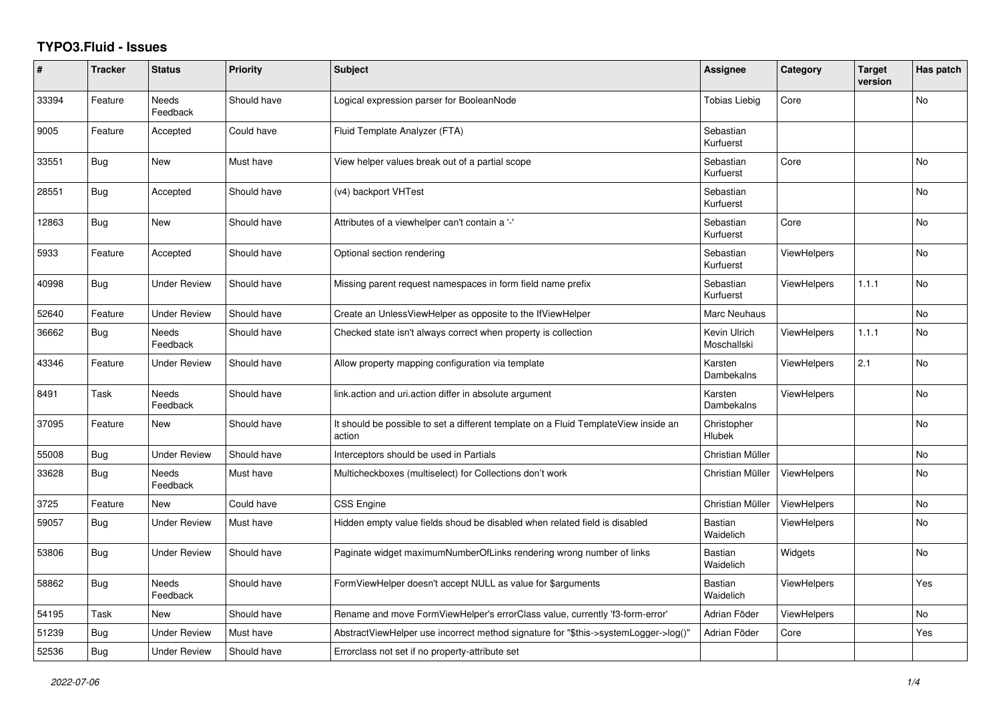## **TYPO3.Fluid - Issues**

| #     | <b>Tracker</b> | <b>Status</b>            | Priority    | Subject                                                                                       | <b>Assignee</b>             | Category           | <b>Target</b><br>version | Has patch |
|-------|----------------|--------------------------|-------------|-----------------------------------------------------------------------------------------------|-----------------------------|--------------------|--------------------------|-----------|
| 33394 | Feature        | <b>Needs</b><br>Feedback | Should have | Logical expression parser for BooleanNode                                                     | <b>Tobias Liebig</b>        | Core               |                          | <b>No</b> |
| 9005  | Feature        | Accepted                 | Could have  | Fluid Template Analyzer (FTA)                                                                 | Sebastian<br>Kurfuerst      |                    |                          |           |
| 33551 | <b>Bug</b>     | <b>New</b>               | Must have   | View helper values break out of a partial scope                                               | Sebastian<br>Kurfuerst      | Core               |                          | <b>No</b> |
| 28551 | Bug            | Accepted                 | Should have | (v4) backport VHTest                                                                          | Sebastian<br>Kurfuerst      |                    |                          | No        |
| 12863 | Bug            | New                      | Should have | Attributes of a viewhelper can't contain a '-'                                                | Sebastian<br>Kurfuerst      | Core               |                          | <b>No</b> |
| 5933  | Feature        | Accepted                 | Should have | Optional section rendering                                                                    | Sebastian<br>Kurfuerst      | <b>ViewHelpers</b> |                          | <b>No</b> |
| 40998 | Bug            | <b>Under Review</b>      | Should have | Missing parent request namespaces in form field name prefix                                   | Sebastian<br>Kurfuerst      | <b>ViewHelpers</b> | 1.1.1                    | No        |
| 52640 | Feature        | <b>Under Review</b>      | Should have | Create an UnlessViewHelper as opposite to the IfViewHelper                                    | Marc Neuhaus                |                    |                          | <b>No</b> |
| 36662 | <b>Bug</b>     | <b>Needs</b><br>Feedback | Should have | Checked state isn't always correct when property is collection                                | Kevin Ulrich<br>Moschallski | <b>ViewHelpers</b> | 1.1.1                    | <b>No</b> |
| 43346 | Feature        | Under Review             | Should have | Allow property mapping configuration via template                                             | Karsten<br>Dambekalns       | <b>ViewHelpers</b> | 2.1                      | No        |
| 8491  | Task           | Needs<br>Feedback        | Should have | link.action and uri.action differ in absolute argument                                        | Karsten<br>Dambekalns       | <b>ViewHelpers</b> |                          | <b>No</b> |
| 37095 | Feature        | New                      | Should have | It should be possible to set a different template on a Fluid TemplateView inside an<br>action | Christopher<br>Hlubek       |                    |                          | <b>No</b> |
| 55008 | <b>Bug</b>     | <b>Under Review</b>      | Should have | Interceptors should be used in Partials                                                       | Christian Müller            |                    |                          | <b>No</b> |
| 33628 | Bug            | <b>Needs</b><br>Feedback | Must have   | Multicheckboxes (multiselect) for Collections don't work                                      | Christian Müller            | <b>ViewHelpers</b> |                          | <b>No</b> |
| 3725  | Feature        | <b>New</b>               | Could have  | CSS Engine                                                                                    | Christian Müller            | ViewHelpers        |                          | <b>No</b> |
| 59057 | Bug            | <b>Under Review</b>      | Must have   | Hidden empty value fields shoud be disabled when related field is disabled                    | <b>Bastian</b><br>Waidelich | <b>ViewHelpers</b> |                          | No        |
| 53806 | Bug            | <b>Under Review</b>      | Should have | Paginate widget maximumNumberOfLinks rendering wrong number of links                          | <b>Bastian</b><br>Waidelich | Widgets            |                          | No        |
| 58862 | Bug            | <b>Needs</b><br>Feedback | Should have | FormViewHelper doesn't accept NULL as value for \$arguments                                   | Bastian<br>Waidelich        | <b>ViewHelpers</b> |                          | Yes       |
| 54195 | Task           | New                      | Should have | Rename and move FormViewHelper's errorClass value, currently 'f3-form-error'                  | Adrian Föder                | <b>ViewHelpers</b> |                          | No        |
| 51239 | Bug            | <b>Under Review</b>      | Must have   | AbstractViewHelper use incorrect method signature for "\$this->systemLogger->log()"           | Adrian Föder                | Core               |                          | Yes       |
| 52536 | <b>Bug</b>     | <b>Under Review</b>      | Should have | Errorclass not set if no property-attribute set                                               |                             |                    |                          |           |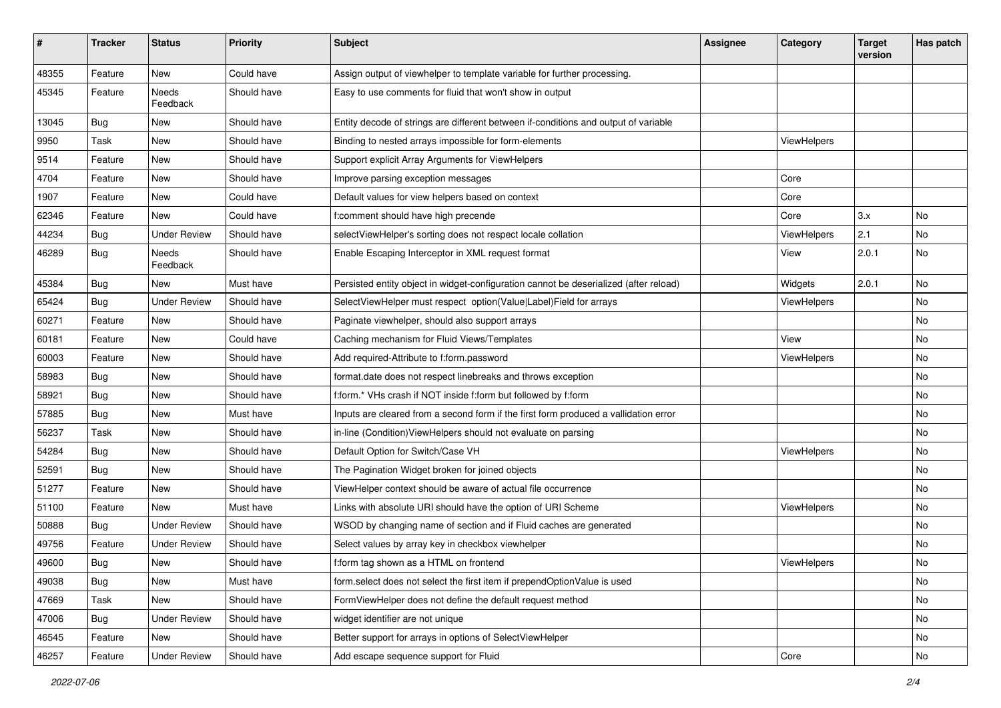| #     | <b>Tracker</b> | <b>Status</b>       | <b>Priority</b> | <b>Subject</b>                                                                        | Assignee | Category           | <b>Target</b><br>version | <b>Has patch</b> |
|-------|----------------|---------------------|-----------------|---------------------------------------------------------------------------------------|----------|--------------------|--------------------------|------------------|
| 48355 | Feature        | New                 | Could have      | Assign output of viewhelper to template variable for further processing.              |          |                    |                          |                  |
| 45345 | Feature        | Needs<br>Feedback   | Should have     | Easy to use comments for fluid that won't show in output                              |          |                    |                          |                  |
| 13045 | Bug            | New                 | Should have     | Entity decode of strings are different between if-conditions and output of variable   |          |                    |                          |                  |
| 9950  | Task           | New                 | Should have     | Binding to nested arrays impossible for form-elements                                 |          | <b>ViewHelpers</b> |                          |                  |
| 9514  | Feature        | New                 | Should have     | Support explicit Array Arguments for ViewHelpers                                      |          |                    |                          |                  |
| 4704  | Feature        | New                 | Should have     | Improve parsing exception messages                                                    |          | Core               |                          |                  |
| 1907  | Feature        | New                 | Could have      | Default values for view helpers based on context                                      |          | Core               |                          |                  |
| 62346 | Feature        | <b>New</b>          | Could have      | f:comment should have high precende                                                   |          | Core               | 3.x                      | No               |
| 44234 | Bug            | <b>Under Review</b> | Should have     | selectViewHelper's sorting does not respect locale collation                          |          | ViewHelpers        | 2.1                      | No               |
| 46289 | Bug            | Needs<br>Feedback   | Should have     | Enable Escaping Interceptor in XML request format                                     |          | View               | 2.0.1                    | <b>No</b>        |
| 45384 | Bug            | New                 | Must have       | Persisted entity object in widget-configuration cannot be deserialized (after reload) |          | Widgets            | 2.0.1                    | <b>No</b>        |
| 65424 | Bug            | <b>Under Review</b> | Should have     | SelectViewHelper must respect option(Value Label)Field for arrays                     |          | ViewHelpers        |                          | <b>No</b>        |
| 60271 | Feature        | New                 | Should have     | Paginate viewhelper, should also support arrays                                       |          |                    |                          | No               |
| 60181 | Feature        | New                 | Could have      | Caching mechanism for Fluid Views/Templates                                           |          | View               |                          | No               |
| 60003 | Feature        | New                 | Should have     | Add required-Attribute to f:form.password                                             |          | ViewHelpers        |                          | <b>No</b>        |
| 58983 | Bug            | New                 | Should have     | format.date does not respect linebreaks and throws exception                          |          |                    |                          | No               |
| 58921 | Bug            | New                 | Should have     | f:form.* VHs crash if NOT inside f:form but followed by f:form                        |          |                    |                          | No               |
| 57885 | Bug            | New                 | Must have       | Inputs are cleared from a second form if the first form produced a vallidation error  |          |                    |                          | No               |
| 56237 | Task           | New                 | Should have     | in-line (Condition) ViewHelpers should not evaluate on parsing                        |          |                    |                          | No               |
| 54284 | Bug            | New                 | Should have     | Default Option for Switch/Case VH                                                     |          | ViewHelpers        |                          | No               |
| 52591 | Bug            | New                 | Should have     | The Pagination Widget broken for joined objects                                       |          |                    |                          | No               |
| 51277 | Feature        | New                 | Should have     | ViewHelper context should be aware of actual file occurrence                          |          |                    |                          | No               |
| 51100 | Feature        | <b>New</b>          | Must have       | Links with absolute URI should have the option of URI Scheme                          |          | <b>ViewHelpers</b> |                          | No               |
| 50888 | Bug            | <b>Under Review</b> | Should have     | WSOD by changing name of section and if Fluid caches are generated                    |          |                    |                          | No.              |
| 49756 | Feature        | <b>Under Review</b> | Should have     | Select values by array key in checkbox viewhelper                                     |          |                    |                          | No               |
| 49600 | Bug            | New                 | Should have     | f:form tag shown as a HTML on frontend                                                |          | ViewHelpers        |                          | No               |
| 49038 | <b>Bug</b>     | New                 | Must have       | form.select does not select the first item if prependOptionValue is used              |          |                    |                          | No               |
| 47669 | Task           | New                 | Should have     | FormViewHelper does not define the default request method                             |          |                    |                          | No               |
| 47006 | Bug            | <b>Under Review</b> | Should have     | widget identifier are not unique                                                      |          |                    |                          | No               |
| 46545 | Feature        | New                 | Should have     | Better support for arrays in options of SelectViewHelper                              |          |                    |                          | No               |
| 46257 | Feature        | <b>Under Review</b> | Should have     | Add escape sequence support for Fluid                                                 |          | Core               |                          | No               |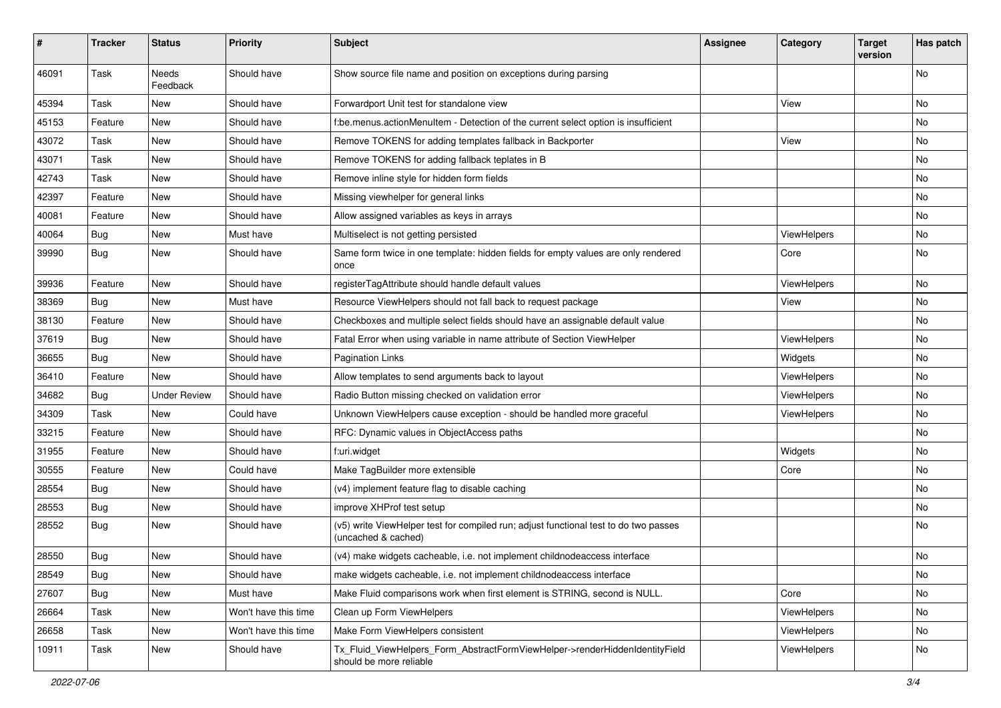| ∦     | <b>Tracker</b> | <b>Status</b>            | <b>Priority</b>      | <b>Subject</b>                                                                                              | <b>Assignee</b> | Category    | <b>Target</b><br>version | Has patch |
|-------|----------------|--------------------------|----------------------|-------------------------------------------------------------------------------------------------------------|-----------------|-------------|--------------------------|-----------|
| 46091 | Task           | <b>Needs</b><br>Feedback | Should have          | Show source file name and position on exceptions during parsing                                             |                 |             |                          | No        |
| 45394 | Task           | New                      | Should have          | Forwardport Unit test for standalone view                                                                   |                 | View        |                          | No        |
| 45153 | Feature        | New                      | Should have          | f:be.menus.actionMenuItem - Detection of the current select option is insufficient                          |                 |             |                          | No        |
| 43072 | Task           | New                      | Should have          | Remove TOKENS for adding templates fallback in Backporter                                                   |                 | View        |                          | No        |
| 43071 | Task           | New                      | Should have          | Remove TOKENS for adding fallback teplates in B                                                             |                 |             |                          | No.       |
| 42743 | Task           | New                      | Should have          | Remove inline style for hidden form fields                                                                  |                 |             |                          | No        |
| 42397 | Feature        | New                      | Should have          | Missing viewhelper for general links                                                                        |                 |             |                          | No        |
| 40081 | Feature        | New                      | Should have          | Allow assigned variables as keys in arrays                                                                  |                 |             |                          | No        |
| 40064 | Bug            | New                      | Must have            | Multiselect is not getting persisted                                                                        |                 | ViewHelpers |                          | No        |
| 39990 | Bug            | New                      | Should have          | Same form twice in one template: hidden fields for empty values are only rendered<br>once                   |                 | Core        |                          | No        |
| 39936 | Feature        | New                      | Should have          | registerTagAttribute should handle default values                                                           |                 | ViewHelpers |                          | No        |
| 38369 | Bug            | <b>New</b>               | Must have            | Resource ViewHelpers should not fall back to request package                                                |                 | View        |                          | No.       |
| 38130 | Feature        | New                      | Should have          | Checkboxes and multiple select fields should have an assignable default value                               |                 |             |                          | No        |
| 37619 | Bug            | New                      | Should have          | Fatal Error when using variable in name attribute of Section ViewHelper                                     |                 | ViewHelpers |                          | No        |
| 36655 | Bug            | New                      | Should have          | <b>Pagination Links</b>                                                                                     |                 | Widgets     |                          | No        |
| 36410 | Feature        | New                      | Should have          | Allow templates to send arguments back to layout                                                            |                 | ViewHelpers |                          | No        |
| 34682 | Bug            | <b>Under Review</b>      | Should have          | Radio Button missing checked on validation error                                                            |                 | ViewHelpers |                          | No.       |
| 34309 | Task           | New                      | Could have           | Unknown ViewHelpers cause exception - should be handled more graceful                                       |                 | ViewHelpers |                          | No        |
| 33215 | Feature        | New                      | Should have          | RFC: Dynamic values in ObjectAccess paths                                                                   |                 |             |                          | No.       |
| 31955 | Feature        | New                      | Should have          | f:uri.widget                                                                                                |                 | Widgets     |                          | No        |
| 30555 | Feature        | New                      | Could have           | Make TagBuilder more extensible                                                                             |                 | Core        |                          | No        |
| 28554 | <b>Bug</b>     | New                      | Should have          | (v4) implement feature flag to disable caching                                                              |                 |             |                          | No        |
| 28553 | Bug            | New                      | Should have          | improve XHProf test setup                                                                                   |                 |             |                          | No        |
| 28552 | Bug            | New                      | Should have          | (v5) write ViewHelper test for compiled run; adjust functional test to do two passes<br>(uncached & cached) |                 |             |                          | No        |
| 28550 | <b>Bug</b>     | New                      | Should have          | (v4) make widgets cacheable, i.e. not implement childnodeaccess interface                                   |                 |             |                          | No        |
| 28549 | <b>Bug</b>     | New                      | Should have          | make widgets cacheable, i.e. not implement childnodeaccess interface                                        |                 |             |                          | No        |
| 27607 | Bug            | New                      | Must have            | Make Fluid comparisons work when first element is STRING, second is NULL.                                   |                 | Core        |                          | No        |
| 26664 | Task           | New                      | Won't have this time | Clean up Form ViewHelpers                                                                                   |                 | ViewHelpers |                          | No        |
| 26658 | Task           | New                      | Won't have this time | Make Form ViewHelpers consistent                                                                            |                 | ViewHelpers |                          | No        |
| 10911 | Task           | New                      | Should have          | Tx_Fluid_ViewHelpers_Form_AbstractFormViewHelper->renderHiddenIdentityField<br>should be more reliable      |                 | ViewHelpers |                          | No        |